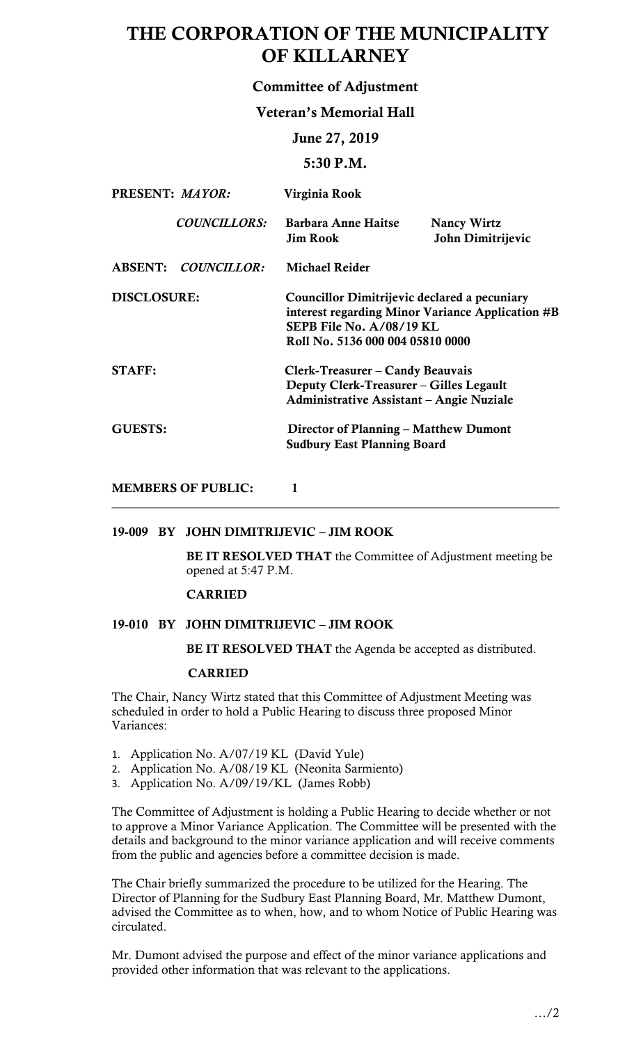# THE CORPORATION OF THE MUNICIPALITY OF KILLARNEY

# Committee of Adjustment

# Veteran's Memorial Hall

# June 27, 2019

# 5:30 P.M.

| PRESENT: MAYOR:    |                     | Virginia Rook                                                                                                                                                      |                                         |  |
|--------------------|---------------------|--------------------------------------------------------------------------------------------------------------------------------------------------------------------|-----------------------------------------|--|
|                    | <b>COUNCILLORS:</b> | <b>Barbara Anne Haitse</b><br><b>Jim Rook</b>                                                                                                                      | <b>Nancy Wirtz</b><br>John Dimitrijevic |  |
|                    | ABSENT: COUNCILLOR: | <b>Michael Reider</b>                                                                                                                                              |                                         |  |
| <b>DISCLOSURE:</b> |                     | Councillor Dimitrijevic declared a pecuniary<br>interest regarding Minor Variance Application #B<br>SEPB File No. $A/08/19$ KL<br>Roll No. 5136 000 004 05810 0000 |                                         |  |
| <b>STAFF:</b>      |                     | Clerk-Treasurer – Candy Beauvais<br>Deputy Clerk-Treasurer - Gilles Legault<br><b>Administrative Assistant – Angie Nuziale</b>                                     |                                         |  |
| <b>GUESTS:</b>     |                     | Director of Planning – Matthew Dumont<br><b>Sudbury East Planning Board</b>                                                                                        |                                         |  |

\_\_\_\_\_\_\_\_\_\_\_\_\_\_\_\_\_\_\_\_\_\_\_\_\_\_\_\_\_\_\_\_\_\_\_\_\_\_\_\_\_\_\_\_\_\_\_\_\_\_\_\_\_\_\_\_\_\_\_\_\_\_\_\_\_\_\_\_\_\_\_\_

MEMBERS OF PUBLIC: 1

### 19-009 BY JOHN DIMITRIJEVIC – JIM ROOK

BE IT RESOLVED THAT the Committee of Adjustment meeting be opened at 5:47 P.M.

### CARRIED

### 19-010 BY JOHN DIMITRIJEVIC – JIM ROOK

BE IT RESOLVED THAT the Agenda be accepted as distributed.

#### CARRIED

 The Chair, Nancy Wirtz stated that this Committee of Adjustment Meeting was scheduled in order to hold a Public Hearing to discuss three proposed Minor Variances:

- 1. Application No. A/07/19 KL (David Yule)
- 2. Application No. A/08/19 KL (Neonita Sarmiento)
- 3. Application No. A/09/19/KL (James Robb)

 The Committee of Adjustment is holding a Public Hearing to decide whether or not to approve a Minor Variance Application. The Committee will be presented with the details and background to the minor variance application and will receive comments from the public and agencies before a committee decision is made.

 Director of Planning for the Sudbury East Planning Board, Mr. Matthew Dumont, advised the Committee as to when, how, and to whom Notice of Public Hearing was The Chair briefly summarized the procedure to be utilized for the Hearing. The circulated.

 Mr. Dumont advised the purpose and effect of the minor variance applications and provided other information that was relevant to the applications.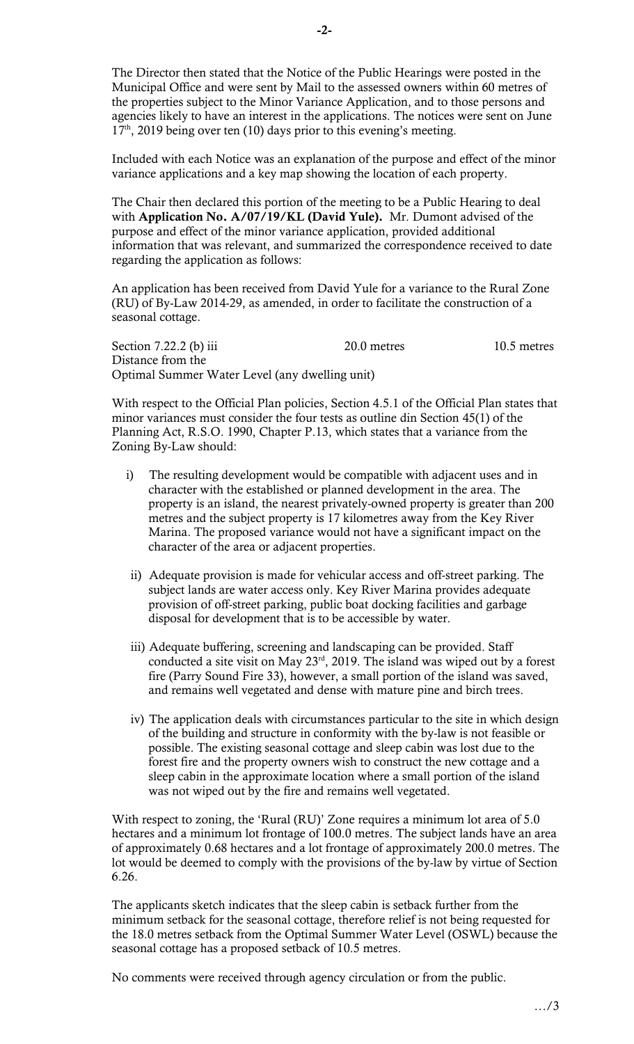The Director then stated that the Notice of the Public Hearings were posted in the Municipal Office and were sent by Mail to the assessed owners within 60 metres of the properties subject to the Minor Variance Application, and to those persons and agencies likely to have an interest in the applications. The notices were sent on June  $17<sup>th</sup>$ , 2019 being over ten (10) days prior to this evening's meeting.

 Included with each Notice was an explanation of the purpose and effect of the minor variance applications and a key map showing the location of each property.

 The Chair then declared this portion of the meeting to be a Public Hearing to deal purpose and effect of the minor variance application, provided additional with Application No. A/07/19/KL (David Yule). Mr. Dumont advised of the information that was relevant, and summarized the correspondence received to date regarding the application as follows:

 An application has been received from David Yule for a variance to the Rural Zone (RU) of By-Law 2014-29, as amended, in order to facilitate the construction of a seasonal cottage.

Section 7.22.2 (b) iii 20.0 metres 10.5 metres Distance from the Optimal Summer Water Level (any dwelling unit)

 With respect to the Official Plan policies, Section 4.5.1 of the Official Plan states that minor variances must consider the four tests as outline din Section 45(1) of the Planning Act, R.S.O. 1990, Chapter P.13, which states that a variance from the Zoning By-Law should:

- metres and the subject property is 17 kilometres away from the Key River i) The resulting development would be compatible with adjacent uses and in character with the established or planned development in the area. The property is an island, the nearest privately-owned property is greater than 200 Marina. The proposed variance would not have a significant impact on the character of the area or adjacent properties.
- ii) Adequate provision is made for vehicular access and off-street parking. The subject lands are water access only. Key River Marina provides adequate provision of off-street parking, public boat docking facilities and garbage disposal for development that is to be accessible by water.
- iii) Adequate buffering, screening and landscaping can be provided. Staff conducted a site visit on May  $23<sup>rd</sup>$ , 2019. The island was wiped out by a forest fire (Parry Sound Fire 33), however, a small portion of the island was saved, and remains well vegetated and dense with mature pine and birch trees.
- iv) The application deals with circumstances particular to the site in which design possible. The existing seasonal cottage and sleep cabin was lost due to the forest fire and the property owners wish to construct the new cottage and a sleep cabin in the approximate location where a small portion of the island was not wiped out by the fire and remains well vegetated. of the building and structure in conformity with the by-law is not feasible or

With respect to zoning, the 'Rural (RU)' Zone requires a minimum lot area of 5.0 hectares and a minimum lot frontage of 100.0 metres. The subject lands have an area of approximately 0.68 hectares and a lot frontage of approximately 200.0 metres. The lot would be deemed to comply with the provisions of the by-law by virtue of Section 6.26.

 The applicants sketch indicates that the sleep cabin is setback further from the minimum setback for the seasonal cottage, therefore relief is not being requested for seasonal cottage has a proposed setback of 10.5 metres. the 18.0 metres setback from the Optimal Summer Water Level (OSWL) because the

No comments were received through agency circulation or from the public.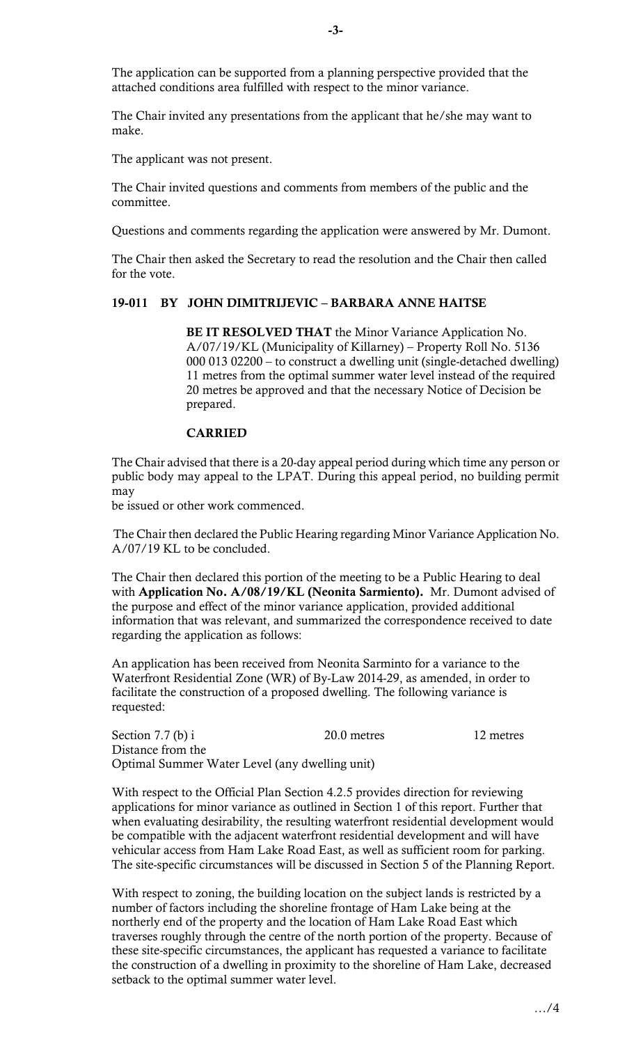The application can be supported from a planning perspective provided that the attached conditions area fulfilled with respect to the minor variance.

 The Chair invited any presentations from the applicant that he/she may want to make.

The applicant was not present.

 The Chair invited questions and comments from members of the public and the committee.

Questions and comments regarding the application were answered by Mr. Dumont.

 for the vote. The Chair then asked the Secretary to read the resolution and the Chair then called

### 19-011 BY JOHN DIMITRIJEVIC – BARBARA ANNE HAITSE

BE IT RESOLVED THAT the Minor Variance Application No. 000 013 02200 – to construct a dwelling unit (single-detached dwelling) 11 metres from the optimal summer water level instead of the required 20 metres be approved and that the necessary Notice of Decision be A/07/19/KL (Municipality of Killarney) – Property Roll No. 5136 prepared.

### CARRIED

The Chair advised that there is a 20-day appeal period during which time any person or public body may appeal to the LPAT. During this appeal period, no building permit may

be issued or other work commenced.

The Chair then declared the Public Hearing regarding Minor Variance Application No. A/07/19 KL to be concluded.

 The Chair then declared this portion of the meeting to be a Public Hearing to deal with Application No. A/08/19/KL (Neonita Sarmiento). Mr. Dumont advised of the purpose and effect of the minor variance application, provided additional information that was relevant, and summarized the correspondence received to date regarding the application as follows:

 An application has been received from Neonita Sarminto for a variance to the Waterfront Residential Zone (WR) of By-Law 2014-29, as amended, in order to facilitate the construction of a proposed dwelling. The following variance is requested:

Section 7.7 (b) i 20.0 metres 12 metres Distance from the Optimal Summer Water Level (any dwelling unit)

 With respect to the Official Plan Section 4.2.5 provides direction for reviewing applications for minor variance as outlined in Section 1 of this report. Further that vehicular access from Ham Lake Road East, as well as sufficient room for parking. The site-specific circumstances will be discussed in Section 5 of the Planning Report. when evaluating desirability, the resulting waterfront residential development would be compatible with the adjacent waterfront residential development and will have

 With respect to zoning, the building location on the subject lands is restricted by a number of factors including the shoreline frontage of Ham Lake being at the northerly end of the property and the location of Ham Lake Road East which traverses roughly through the centre of the north portion of the property. Because of these site-specific circumstances, the applicant has requested a variance to facilitate setback to the optimal summer water level. the construction of a dwelling in proximity to the shoreline of Ham Lake, decreased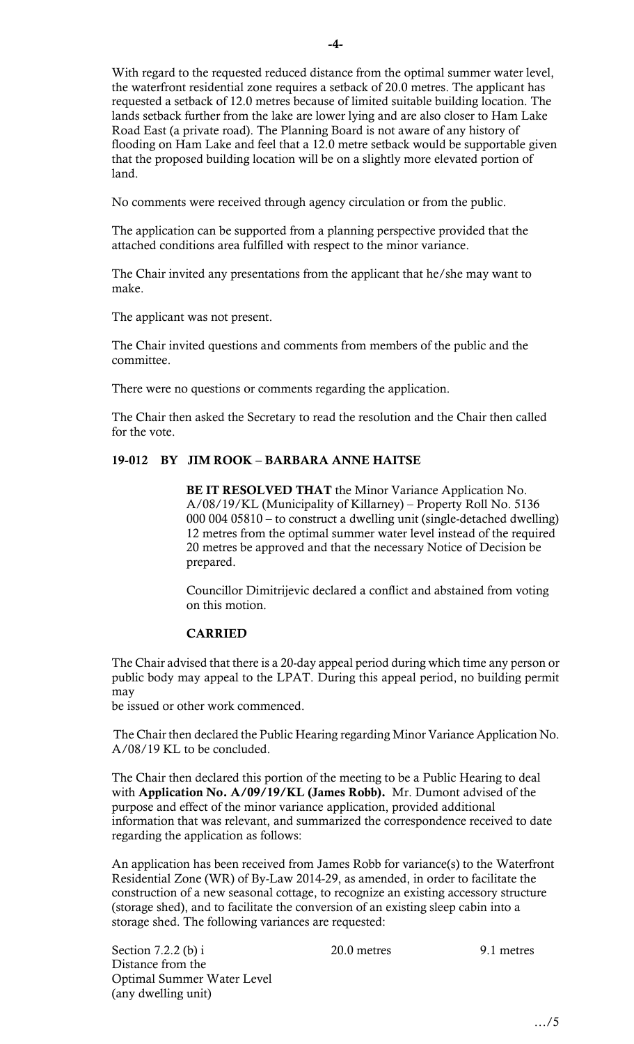the waterfront residential zone requires a setback of 20.0 metres. The applicant has lands setback further from the lake are lower lying and are also closer to Ham Lake Road East (a private road). The Planning Board is not aware of any history of flooding on Ham Lake and feel that a 12.0 metre setback would be supportable given that the proposed building location will be on a slightly more elevated portion of With regard to the requested reduced distance from the optimal summer water level, requested a setback of 12.0 metres because of limited suitable building location. The land.

No comments were received through agency circulation or from the public.

 The application can be supported from a planning perspective provided that the attached conditions area fulfilled with respect to the minor variance.

 The Chair invited any presentations from the applicant that he/she may want to make.

The applicant was not present.

 The Chair invited questions and comments from members of the public and the committee.

There were no questions or comments regarding the application.

 for the vote. The Chair then asked the Secretary to read the resolution and the Chair then called

# 19-012 BY JIM ROOK – BARBARA ANNE HAITSE

BE IT RESOLVED THAT the Minor Variance Application No. 000 004 05810 – to construct a dwelling unit (single-detached dwelling) 12 metres from the optimal summer water level instead of the required 20 metres be approved and that the necessary Notice of Decision be A/08/19/KL (Municipality of Killarney) – Property Roll No. 5136 prepared.

 on this motion. Councillor Dimitrijevic declared a conflict and abstained from voting

# CARRIED

The Chair advised that there is a 20-day appeal period during which time any person or public body may appeal to the LPAT. During this appeal period, no building permit may

be issued or other work commenced.

The Chair then declared the Public Hearing regarding Minor Variance Application No. A/08/19 KL to be concluded.

 The Chair then declared this portion of the meeting to be a Public Hearing to deal with Application No. A/09/19/KL (James Robb). Mr. Dumont advised of the purpose and effect of the minor variance application, provided additional information that was relevant, and summarized the correspondence received to date regarding the application as follows:

 Residential Zone (WR) of By-Law 2014-29, as amended, in order to facilitate the (storage shed), and to facilitate the conversion of an existing sleep cabin into a An application has been received from James Robb for variance(s) to the Waterfront construction of a new seasonal cottage, to recognize an existing accessory structure storage shed. The following variances are requested:

Section 7.2.2 (b) i 20.0 metres 9.1 metres Distance from the Optimal Summer Water Level (any dwelling unit)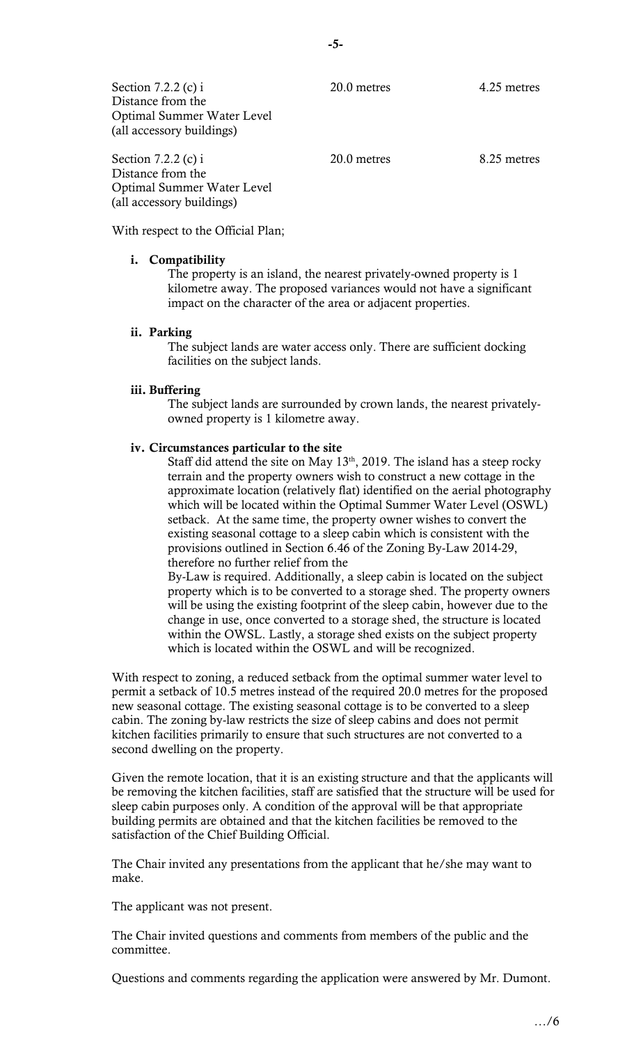| Section 7.2.2 (c) i<br>Distance from the<br>Optimal Summer Water Level<br>(all accessory buildings) | 20.0 metres | 4.25 metres |
|-----------------------------------------------------------------------------------------------------|-------------|-------------|
| Section 7.2.2 (c) i<br>Distance from the<br>Optimal Summer Water Level                              | 20.0 metres | 8.25 metres |

With respect to the Official Plan;

### i. Compatibility

(all accessory buildings)

 The property is an island, the nearest privately-owned property is 1 kilometre away. The proposed variances would not have a significant impact on the character of the area or adjacent properties.

# ii. Parking

 The subject lands are water access only. There are sufficient docking facilities on the subject lands.

# iii. Buffering

The subject lands are surrounded by crown lands, the nearest privatelyowned property is 1 kilometre away.

# iv. Circumstances particular to the site

Staff did attend the site on May  $13<sup>th</sup>$ , 2019. The island has a steep rocky terrain and the property owners wish to construct a new cottage in the setback. At the same time, the property owner wishes to convert the existing seasonal cottage to a sleep cabin which is consistent with the approximate location (relatively flat) identified on the aerial photography which will be located within the Optimal Summer Water Level (OSWL) provisions outlined in Section 6.46 of the Zoning By-Law 2014-29, therefore no further relief from the

 By-Law is required. Additionally, a sleep cabin is located on the subject property which is to be converted to a storage shed. The property owners will be using the existing footprint of the sleep cabin, however due to the change in use, once converted to a storage shed, the structure is located within the OWSL. Lastly, a storage shed exists on the subject property which is located within the OSWL and will be recognized.

 With respect to zoning, a reduced setback from the optimal summer water level to permit a setback of 10.5 metres instead of the required 20.0 metres for the proposed new seasonal cottage. The existing seasonal cottage is to be converted to a sleep cabin. The zoning by-law restricts the size of sleep cabins and does not permit kitchen facilities primarily to ensure that such structures are not converted to a second dwelling on the property.

 Given the remote location, that it is an existing structure and that the applicants will sleep cabin purposes only. A condition of the approval will be that appropriate building permits are obtained and that the kitchen facilities be removed to the satisfaction of the Chief Building Official. be removing the kitchen facilities, staff are satisfied that the structure will be used for

 The Chair invited any presentations from the applicant that he/she may want to make.

The applicant was not present.

 The Chair invited questions and comments from members of the public and the committee.

Questions and comments regarding the application were answered by Mr. Dumont.